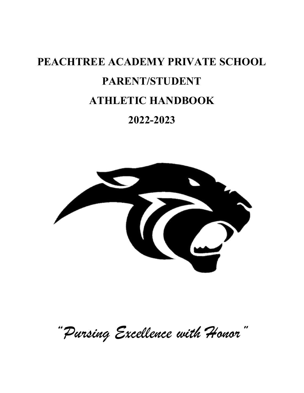# PEACHTREE ACADEMY PRIVATE SCHOOL PARENT/STUDENT ATHLETIC HANDBOOK 2022-2023



"Pursing Excellence with Honor"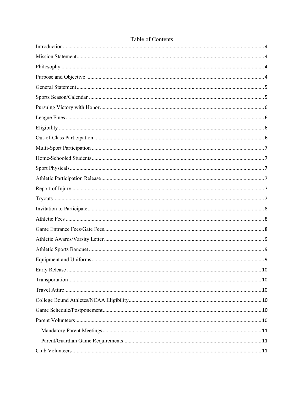## Table of Contents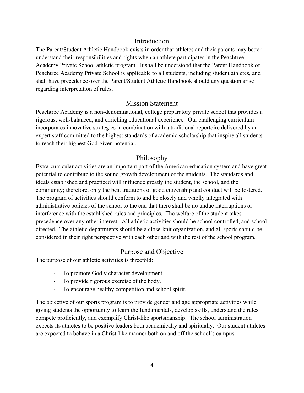## Introduction

The Parent/Student Athletic Handbook exists in order that athletes and their parents may better understand their responsibilities and rights when an athlete participates in the Peachtree Academy Private School athletic program. It shall be understood that the Parent Handbook of Peachtree Academy Private School is applicable to all students, including student athletes, and shall have precedence over the Parent/Student Athletic Handbook should any question arise regarding interpretation of rules.

## Mission Statement

Peachtree Academy is a non-denominational, college preparatory private school that provides a rigorous, well-balanced, and enriching educational experience. Our challenging curriculum incorporates innovative strategies in combination with a traditional repertoire delivered by an expert staff committed to the highest standards of academic scholarship that inspire all students to reach their highest God-given potential.

## Philosophy

Extra-curricular activities are an important part of the American education system and have great potential to contribute to the sound growth development of the students. The standards and ideals established and practiced will influence greatly the student, the school, and the community; therefore, only the best traditions of good citizenship and conduct will be fostered. The program of activities should conform to and be closely and wholly integrated with administrative policies of the school to the end that there shall be no undue interruptions or interference with the established rules and principles. The welfare of the student takes precedence over any other interest. All athletic activities should be school controlled, and school directed. The athletic departments should be a close-knit organization, and all sports should be considered in their right perspective with each other and with the rest of the school program.

## Purpose and Objective

The purpose of our athletic activities is threefold:

- To promote Godly character development.
- To provide rigorous exercise of the body.
- To encourage healthy competition and school spirit.

The objective of our sports program is to provide gender and age appropriate activities while giving students the opportunity to learn the fundamentals, develop skills, understand the rules, compete proficiently, and exemplify Christ-like sportsmanship. The school administration expects its athletes to be positive leaders both academically and spiritually. Our student-athletes are expected to behave in a Christ-like manner both on and off the school's campus.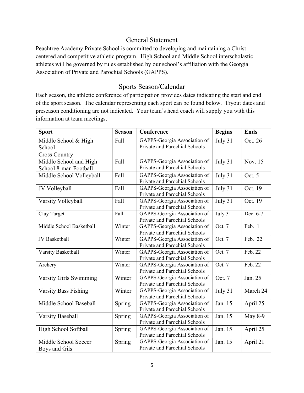#### General Statement

Peachtree Academy Private School is committed to developing and maintaining a Christcentered and competitive athletic program. High School and Middle School interscholastic athletes will be governed by rules established by our school's affiliation with the Georgia Association of Private and Parochial Schools (GAPPS).

#### Sports Season/Calendar

Each season, the athletic conference of participation provides dates indicating the start and end of the sport season. The calendar representing each sport can be found below. Tryout dates and preseason conditioning are not indicated. Your team's head coach will supply you with this information at team meetings.

| <b>Sport</b>                                           | <b>Season</b> | Conference                                                    | <b>Begins</b> | <b>Ends</b>    |
|--------------------------------------------------------|---------------|---------------------------------------------------------------|---------------|----------------|
| Middle School & High<br>School<br><b>Cross Country</b> | Fall          | GAPPS-Georgia Association of<br>Private and Parochial Schools | July 31       | Oct. 26        |
| Middle School and High<br>School 8-man Football        | Fall          | GAPPS-Georgia Association of<br>Private and Parochial Schools | July 31       | Nov. 15        |
| Middle School Volleyball                               | Fall          | GAPPS-Georgia Association of<br>Private and Parochial Schools | July 31       | Oct. 5         |
| JV Volleyball                                          | Fall          | GAPPS-Georgia Association of<br>Private and Parochial Schools | July 31       | Oct. 19        |
| Varsity Volleyball                                     | Fall          | GAPPS-Georgia Association of<br>Private and Parochial Schools | July 31       | Oct. 19        |
| Clay Target                                            | Fall          | GAPPS-Georgia Association of<br>Private and Parochial Schools | $July$ 31     | Dec. 6-7       |
| Middle School Basketball                               | Winter        | GAPPS-Georgia Association of<br>Private and Parochial Schools | Oct. 7        | Feb. 1         |
| JV Basketball                                          | Winter        | GAPPS-Georgia Association of<br>Private and Parochial Schools | Oct. 7        | Feb. 22        |
| Varsity Basketball                                     | Winter        | GAPPS-Georgia Association of<br>Private and Parochial Schools | Oct. 7        | Feb. 22        |
| Archery                                                | Winter        | GAPPS-Georgia Association of<br>Private and Parochial Schools | Oct. 7        | Feb. 22        |
| Varsity Girls Swimming                                 | Winter        | GAPPS-Georgia Association of<br>Private and Parochial Schools | Oct. 7        | Jan. 25        |
| <b>Varsity Bass Fishing</b>                            | Winter        | GAPPS-Georgia Association of<br>Private and Parochial Schools | July 31       | March 24       |
| Middle School Baseball                                 | Spring        | GAPPS-Georgia Association of<br>Private and Parochial Schools | Jan. 15       | April 25       |
| <b>Varsity Baseball</b>                                | Spring        | GAPPS-Georgia Association of<br>Private and Parochial Schools | Jan. 15       | <b>May 8-9</b> |
| High School Softball                                   | Spring        | GAPPS-Georgia Association of<br>Private and Parochial Schools | Jan. 15       | April 25       |
| Middle School Soccer<br>Boys and Gils                  | Spring        | GAPPS-Georgia Association of<br>Private and Parochial Schools | Jan. 15       | April 21       |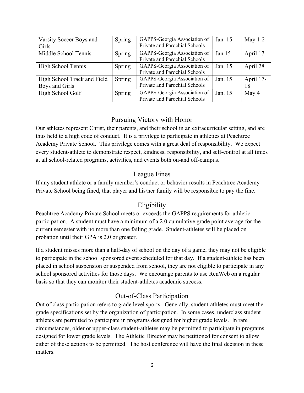| Varsity Soccer Boys and     | Spring | GAPPS-Georgia Association of  | Jan. 15  | May $1-2$ |
|-----------------------------|--------|-------------------------------|----------|-----------|
| Girls                       |        | Private and Parochial Schools |          |           |
| Middle School Tennis        | Spring | GAPPS-Georgia Association of  | Jan $15$ | April 17  |
|                             |        | Private and Parochial Schools |          |           |
| High School Tennis          | Spring | GAPPS-Georgia Association of  | Jan. 15  | April 28  |
|                             |        | Private and Parochial Schools |          |           |
| High School Track and Field | Spring | GAPPS-Georgia Association of  | Jan. 15  | April 17- |
| Boys and Girls              |        | Private and Parochial Schools |          | 18        |
| High School Golf            | Spring | GAPPS-Georgia Association of  | Jan. 15  | May 4     |
|                             |        | Private and Parochial Schools |          |           |

## Pursuing Victory with Honor

Our athletes represent Christ, their parents, and their school in an extracurricular setting, and are thus held to a high code of conduct. It is a privilege to participate in athletics at Peachtree Academy Private School. This privilege comes with a great deal of responsibility. We expect every student-athlete to demonstrate respect, kindness, responsibility, and self-control at all times at all school-related programs, activities, and events both on-and off-campus.

## League Fines

If any student athlete or a family member's conduct or behavior results in Peachtree Academy Private School being fined, that player and his/her family will be responsible to pay the fine.

# **Eligibility**

Peachtree Academy Private School meets or exceeds the GAPPS requirements for athletic participation. A student must have a minimum of a 2.0 cumulative grade point average for the current semester with no more than one failing grade. Student-athletes will be placed on probation until their GPA is 2.0 or greater.

If a student misses more than a half-day of school on the day of a game, they may not be eligible to participate in the school sponsored event scheduled for that day. If a student-athlete has been placed in school suspension or suspended from school, they are not eligible to participate in any school sponsored activities for those days. We encourage parents to use RenWeb on a regular basis so that they can monitor their student-athletes academic success.

## Out-of-Class Participation

Out of class participation refers to grade level sports. Generally, student-athletes must meet the grade specifications set by the organization of participation. In some cases, underclass student athletes are permitted to participate in programs designed for higher grade levels. In rare circumstances, older or upper-class student-athletes may be permitted to participate in programs designed for lower grade levels. The Athletic Director may be petitioned for consent to allow either of these actions to be permitted. The host conference will have the final decision in these matters.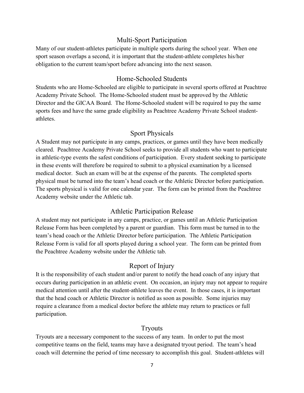#### Multi-Sport Participation

Many of our student-athletes participate in multiple sports during the school year. When one sport season overlaps a second, it is important that the student-athlete completes his/her obligation to the current team/sport before advancing into the next season.

#### Home-Schooled Students

Students who are Home-Schooled are eligible to participate in several sports offered at Peachtree Academy Private School. The Home-Schooled student must be approved by the Athletic Director and the GICAA Board. The Home-Schooled student will be required to pay the same sports fees and have the same grade eligibility as Peachtree Academy Private School studentathletes.

#### Sport Physicals

A Student may not participate in any camps, practices, or games until they have been medically cleared. Peachtree Academy Private School seeks to provide all students who want to participate in athletic-type events the safest conditions of participation. Every student seeking to participate in these events will therefore be required to submit to a physical examination by a licensed medical doctor. Such an exam will be at the expense of the parents. The completed sports physical must be turned into the team's head coach or the Athletic Director before participation. The sports physical is valid for one calendar year. The form can be printed from the Peachtree Academy website under the Athletic tab.

#### Athletic Participation Release

A student may not participate in any camps, practice, or games until an Athletic Participation Release Form has been completed by a parent or guardian. This form must be turned in to the team's head coach or the Athletic Director before participation. The Athletic Participation Release Form is valid for all sports played during a school year. The form can be printed from the Peachtree Academy website under the Athletic tab.

#### Report of Injury

It is the responsibility of each student and/or parent to notify the head coach of any injury that occurs during participation in an athletic event. On occasion, an injury may not appear to require medical attention until after the student-athlete leaves the event. In those cases, it is important that the head coach or Athletic Director is notified as soon as possible. Some injuries may require a clearance from a medical doctor before the athlete may return to practices or full participation.

#### Tryouts

Tryouts are a necessary component to the success of any team. In order to put the most competitive teams on the field, teams may have a designated tryout period. The team's head coach will determine the period of time necessary to accomplish this goal. Student-athletes will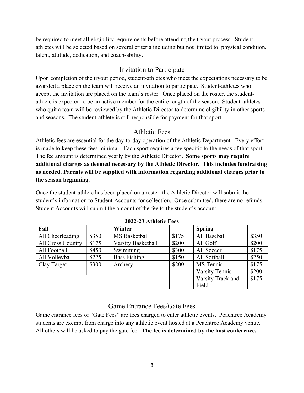be required to meet all eligibility requirements before attending the tryout process. Studentathletes will be selected based on several criteria including but not limited to: physical condition, talent, attitude, dedication, and coach-ability.

## Invitation to Participate

Upon completion of the tryout period, student-athletes who meet the expectations necessary to be awarded a place on the team will receive an invitation to participate. Student-athletes who accept the invitation are placed on the team's roster. Once placed on the roster, the studentathlete is expected to be an active member for the entire length of the season. Student-athletes who quit a team will be reviewed by the Athletic Director to determine eligibility in other sports and seasons. The student-athlete is still responsible for payment for that sport.

## Athletic Fees

Athletic fees are essential for the day-to-day operation of the Athletic Department. Every effort is made to keep these fees minimal. Each sport requires a fee specific to the needs of that sport. The fee amount is determined yearly by the Athletic Director. Some sports may require additional charges as deemed necessary by the Athletic Director. This includes fundraising as needed. Parents will be supplied with information regarding additional charges prior to the season beginning.

Once the student-athlete has been placed on a roster, the Athletic Director will submit the student's information to Student Accounts for collection. Once submitted, there are no refunds. Student Accounts will submit the amount of the fee to the student's account.

| 2022-23 Athletic Fees |       |                           |       |                   |       |
|-----------------------|-------|---------------------------|-------|-------------------|-------|
| Fall                  |       | Winter                    |       | <b>Spring</b>     |       |
| All Cheerleading      | \$350 | MS Basketball             | \$175 | All Baseball      | \$350 |
| All Cross Country     | \$175 | <b>Varsity Basketball</b> | \$200 | All Golf          | \$200 |
| All Football          | \$450 | Swimming                  | \$300 | All Soccer        | \$175 |
| All Volleyball        | \$225 | <b>Bass Fishing</b>       | \$150 | All Softball      | \$250 |
| Clay Target           | \$300 | Archery                   | \$200 | MS Tennis         | \$175 |
|                       |       |                           |       | Varsity Tennis    | \$200 |
|                       |       |                           |       | Varsity Track and | \$175 |
|                       |       |                           |       | Field             |       |

# Game Entrance Fees/Gate Fees

Game entrance fees or "Gate Fees" are fees charged to enter athletic events. Peachtree Academy students are exempt from charge into any athletic event hosted at a Peachtree Academy venue. All others will be asked to pay the gate fee. The fee is determined by the host conference.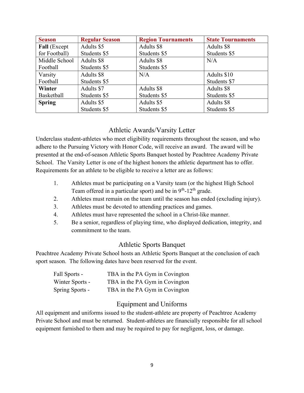| <b>Season</b> | <b>Regular Season</b> | <b>Region Tournaments</b> | <b>State Tournaments</b> |
|---------------|-----------------------|---------------------------|--------------------------|
| Fall (Except  | Adults \$5            | Adults \$8                | Adults \$8               |
| for Football) | Students \$5          | Students \$5              | Students \$5             |
| Middle School | Adults \$8            | Adults \$8                | N/A                      |
| Football      | Students \$5          | Students \$5              |                          |
| Varsity       | Adults \$8            | N/A                       | Adults \$10              |
| Football      | Students \$5          |                           | Students \$7             |
| Winter        | Adults \$7            | Adults \$8                | Adults \$8               |
| Basketball    | Students \$5          | Students \$5              | Students \$5             |
| <b>Spring</b> | Adults \$5            | Adults \$5                | Adults \$8               |
|               | Students \$5          | Students \$5              | Students \$5             |

#### Athletic Awards/Varsity Letter

Underclass student-athletes who meet eligibility requirements throughout the season, and who adhere to the Pursuing Victory with Honor Code, will receive an award. The award will be presented at the end-of-season Athletic Sports Banquet hosted by Peachtree Academy Private School. The Varsity Letter is one of the highest honors the athletic department has to offer. Requirements for an athlete to be eligible to receive a letter are as follows:

- 1. Athletes must be participating on a Varsity team (or the highest High School Team offered in a particular sport) and be in  $9<sup>th</sup>$ -12<sup>th</sup> grade.
- 2. Athletes must remain on the team until the season has ended (excluding injury).
- 3. Athletes must be devoted to attending practices and games.
- 4. Athletes must have represented the school in a Christ-like manner.
- 5. Be a senior, regardless of playing time, who displayed dedication, integrity, and commitment to the team.

#### Athletic Sports Banquet

Peachtree Academy Private School hosts an Athletic Sports Banquet at the conclusion of each sport season. The following dates have been reserved for the event.

| Fall Sports -   | TBA in the PA Gym in Covington |
|-----------------|--------------------------------|
| Winter Sports - | TBA in the PA Gym in Covington |
| Spring Sports - | TBA in the PA Gym in Covington |

## Equipment and Uniforms

All equipment and uniforms issued to the student-athlete are property of Peachtree Academy Private School and must be returned. Student-athletes are financially responsible for all school equipment furnished to them and may be required to pay for negligent, loss, or damage.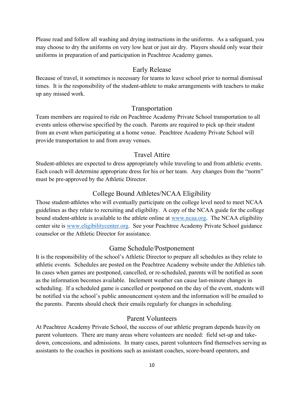Please read and follow all washing and drying instructions in the uniforms. As a safeguard, you may choose to dry the uniforms on very low heat or just air dry. Players should only wear their uniforms in preparation of and participation in Peachtree Academy games.

#### Early Release

Because of travel, it sometimes is necessary for teams to leave school prior to normal dismissal times. It is the responsibility of the student-athlete to make arrangements with teachers to make up any missed work.

#### Transportation

Team members are required to ride on Peachtree Academy Private School transportation to all events unless otherwise specified by the coach. Parents are required to pick up their student from an event when participating at a home venue. Peachtree Academy Private School will provide transportation to and from away venues.

#### Travel Attire

Student-athletes are expected to dress appropriately while traveling to and from athletic events. Each coach will determine appropriate dress for his or her team. Any changes from the "norm" must be pre-approved by the Athletic Director.

#### College Bound Athletes/NCAA Eligibility

Those student-athletes who will eventually participate on the college level need to meet NCAA guidelines as they relate to recruiting and eligibility. A copy of the NCAA guide for the college bound student-athlete is available to the athlete online at www.ncaa.org. The NCAA eligibility center site is www.eligibilitycenter.org. See your Peachtree Academy Private School guidance counselor or the Athletic Director for assistance.

#### Game Schedule/Postponement

It is the responsibility of the school's Athletic Director to prepare all schedules as they relate to athletic events. Schedules are posted on the Peachtree Academy website under the Athletics tab. In cases when games are postponed, cancelled, or re-scheduled, parents will be notified as soon as the information becomes available. Inclement weather can cause last-minute changes in scheduling. If a scheduled game is cancelled or postponed on the day of the event, students will be notified via the school's public announcement system and the information will be emailed to the parents. Parents should check their emails regularly for changes in scheduling.

#### Parent Volunteers

At Peachtree Academy Private School, the success of our athletic program depends heavily on parent volunteers. There are many areas where volunteers are needed: field set-up and takedown, concessions, and admissions. In many cases, parent volunteers find themselves serving as assistants to the coaches in positions such as assistant coaches, score-board operators, and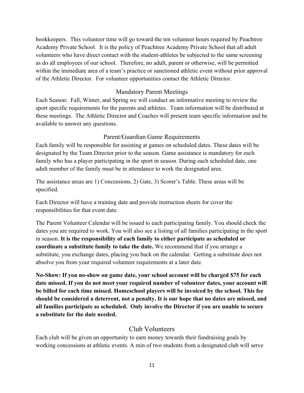bookkeepers. This volunteer time will go toward the ten volunteer hours required by Peachtree Academy Private School. It is the policy of Peachtree Academy Private School that all adult volunteers who have direct contact with the student-athletes be subjected to the same screening as do all employees of our school. Therefore, no adult, parent or otherwise, will be permitted within the immediate area of a team's practice or sanctioned athletic event without prior approval of the Athletic Director. For volunteer opportunities contact the Athletic Director.

#### Mandatory Parent Meetings

Each Season: Fall, Winter, and Spring we will conduct an informative meeting to review the sport specific requirements for the parents and athletes. Team information will be distributed at these meetings. The Athletic Director and Coaches will present team specific information and be available to answer any questions.

#### Parent/Guardian Game Requirements

Each family will be responsible for assisting at games on scheduled dates. These dates will be designated by the Team Director prior to the season. Game assistance is mandatory for each family who has a player participating in the sport in season. During each scheduled date, one adult member of the family must be in attendance to work the designated area.

The assistance areas are 1) Concessions, 2) Gate, 3) Scorer's Table. These areas will be specified.

Each Director will have a training date and provide instruction sheets for cover the responsibilities for that event date.

The Parent Volunteer Calendar will be issued to each participating family. You should check the dates you are required to work. You will also see a listing of all families participating in the sport in season. It is the responsibility of each family to either participate as scheduled or coordinate a substitute family to take the date. We recommend that if you arrange a substitute, you exchange dates, placing you back on the calendar. Getting a substitute does not absolve you from your required volunteer requirements at a later date.

No-Show: If you no-show on game date, your school account will be charged \$75 for each date missed. If you do not meet your required number of volunteer dates, your account will be billed for each time missed. Homeschool players will be invoiced by the school. This fee should be considered a deterrent, not a penalty. It is our hope that no dates are missed, and all families participate as scheduled. Only involve the Director if you are unable to secure a substitute for the date needed.

#### Club Volunteers

Each club will be given an opportunity to earn money towards their fundraising goals by working concessions at athletic events. A min of two students from a designated club will serve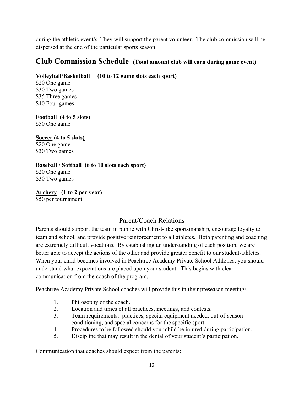during the athletic event/s. They will support the parent volunteer. The club commission will be dispersed at the end of the particular sports season.

# Club Commission Schedule (Total amount club will earn during game event)

## Volleyball/Basketball (10 to 12 game slots each sport)

\$20 One game \$30 Two games \$35 Three games \$40 Four games

Football (4 to 5 slots)

\$50 One game

# Soccer (4 to 5 slots)

\$20 One game \$30 Two games

#### Baseball / Softball (6 to 10 slots each sport)

\$20 One game \$30 Two games

Archery (1 to 2 per year) \$50 per tournament

# Parent/Coach Relations

Parents should support the team in public with Christ-like sportsmanship, encourage loyalty to team and school, and provide positive reinforcement to all athletes. Both parenting and coaching are extremely difficult vocations. By establishing an understanding of each position, we are better able to accept the actions of the other and provide greater benefit to our student-athletes. When your child becomes involved in Peachtree Academy Private School Athletics, you should understand what expectations are placed upon your student. This begins with clear communication from the coach of the program.

Peachtree Academy Private School coaches will provide this in their preseason meetings.

- 1. Philosophy of the coach.
- 2. Location and times of all practices, meetings, and contests.
- 3. Team requirements: practices, special equipment needed, out-of-season conditioning, and special concerns for the specific sport.
- 4. Procedures to be followed should your child be injured during participation.
- 5. Discipline that may result in the denial of your student's participation.

Communication that coaches should expect from the parents: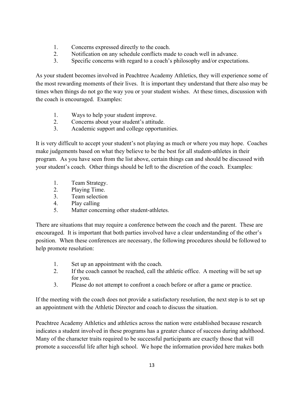- 1. Concerns expressed directly to the coach.
- 2. Notification on any schedule conflicts made to coach well in advance.
- 3. Specific concerns with regard to a coach's philosophy and/or expectations.

As your student becomes involved in Peachtree Academy Athletics, they will experience some of the most rewarding moments of their lives. It is important they understand that there also may be times when things do not go the way you or your student wishes. At these times, discussion with the coach is encouraged. Examples:

- 1. Ways to help your student improve.
- 2. Concerns about your student's attitude.
- 3. Academic support and college opportunities.

It is very difficult to accept your student's not playing as much or where you may hope. Coaches make judgements based on what they believe to be the best for all student-athletes in their program. As you have seen from the list above, certain things can and should be discussed with your student's coach. Other things should be left to the discretion of the coach. Examples:

- 1. Team Strategy.
- 2. Playing Time.
- 3. Team selection
- 4. Play calling
- 5. Matter concerning other student-athletes.

There are situations that may require a conference between the coach and the parent. These are encouraged. It is important that both parties involved have a clear understanding of the other's position. When these conferences are necessary, the following procedures should be followed to help promote resolution:

- 1. Set up an appointment with the coach.
- 2. If the coach cannot be reached, call the athletic office. A meeting will be set up for you.
- 3. Please do not attempt to confront a coach before or after a game or practice.

If the meeting with the coach does not provide a satisfactory resolution, the next step is to set up an appointment with the Athletic Director and coach to discuss the situation.

Peachtree Academy Athletics and athletics across the nation were established because research indicates a student involved in these programs has a greater chance of success during adulthood. Many of the character traits required to be successful participants are exactly those that will promote a successful life after high school. We hope the information provided here makes both